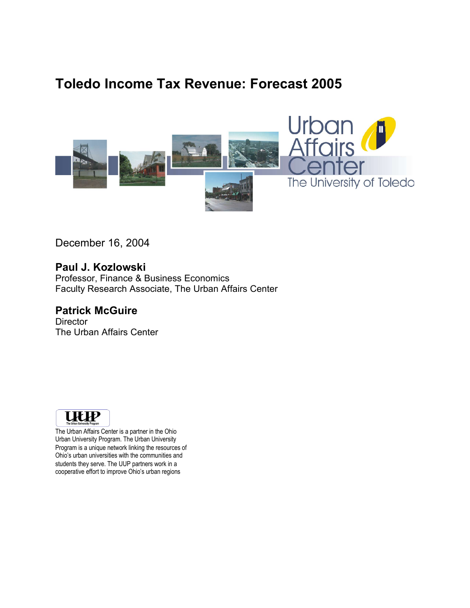# **Toledo Income Tax Revenue: Forecast 2005**



December 16, 2004

**Paul J. Kozlowski** Professor, Finance & Business Economics Faculty Research Associate, The Urban Affairs Center

### **Patrick McGuire**

**Director** The Urban Affairs Center



The Urban Affairs Center is a partner in the Ohio Urban University Program. The Urban University Program is a unique network linking the resources of Ohio's urban universities with the communities and students they serve. The UUP partners work in a cooperative effort to improve Ohio's urban regions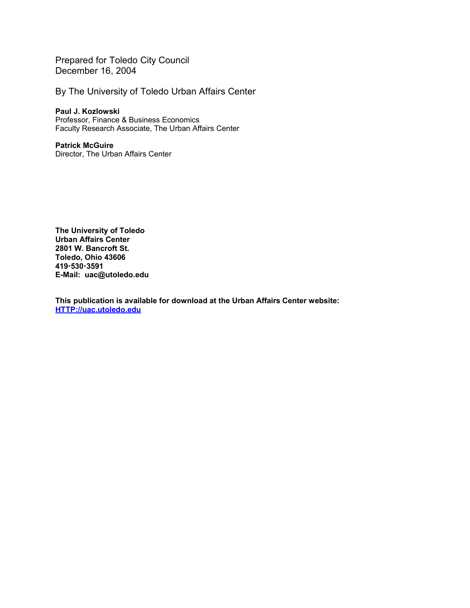Prepared for Toledo City Council December 16, 2004

By The University of Toledo Urban Affairs Center

**Paul J. Kozlowski** Professor, Finance & Business Economics Faculty Research Associate, The Urban Affairs Center

#### **Patrick McGuire** Director, The Urban Affairs Center

**The University of Toledo Urban Affairs Center 2801 W. Bancroft St. Toledo, Ohio 43606 4195303591 E-Mail: uac@utoledo.edu**

**This publication is available for download at the Urban Affairs Center website: HTTP://uac.utoledo.edu**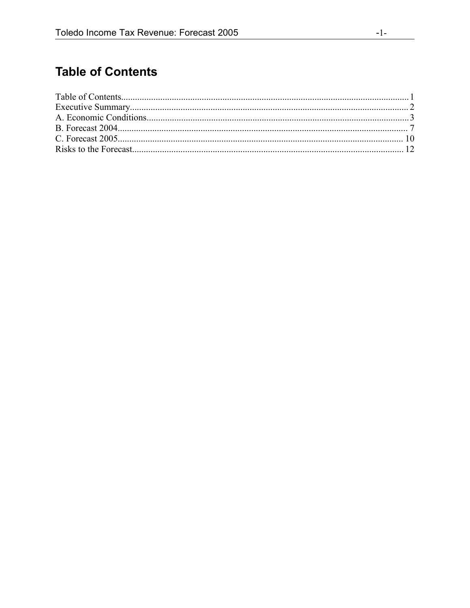## **Table of Contents**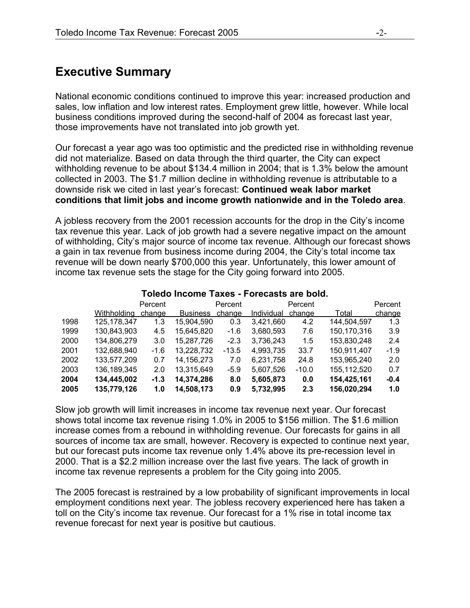### **Executive Summary**

National economic conditions continued to improve this year: increased production and sales, low inflation and low interest rates. Employment grew little, however. While local business conditions improved during the second-half of 2004 as forecast last year, those improvements have not translated into job growth yet.

Our forecast a year ago was too optimistic and the predicted rise in withholding revenue did not materialize. Based on data through the third quarter, the City can expect withholding revenue to be about \$134.4 million in 2004; that is 1.3% below the amount collected in 2003. The \$1.7 million decline in withholding revenue is attributable to a downside risk we cited in last year's forecast: **Continued weak labor market conditions that limit jobs and income growth nationwide and in the Toledo area**.

A jobless recovery from the 2001 recession accounts for the drop in the City's income tax revenue this year. Lack of job growth had a severe negative impact on the amount of withholding, City's major source of income tax revenue. Although our forecast shows a gain in tax revenue from business income during 2004, the City's total income tax revenue will be down nearly \$700,000 this year. Unfortunately, this lower amount of income tax revenue sets the stage for the City going forward into 2005.

|      |               | Percent |                 | Percent |            | Percent |             | Percent |
|------|---------------|---------|-----------------|---------|------------|---------|-------------|---------|
|      | Withholdina   | change  | <b>Business</b> | change  | Individual | change  | Total       | change  |
| 1998 | 125, 178, 347 | 1.3     | 15,904,590      | 0.3     | 3,421,660  | 4.2     | 144,504,597 | 1.3     |
| 1999 | 130,843,903   | 4.5     | 15,645,820      | $-1.6$  | 3,680,593  | 7.6     | 150,170,316 | 3.9     |
| 2000 | 134,806,279   | 3.0     | 15,287,726      | $-2.3$  | 3,736,243  | 1.5     | 153,830,248 | 2.4     |
| 2001 | 132,688,940   | $-1.6$  | 13,228,732      | $-13.5$ | 4,993,735  | 33.7    | 150,911,407 | $-1.9$  |
| 2002 | 133,577,209   | 0.7     | 14, 156, 273    | 7.0     | 6,231,758  | 24.8    | 153,965,240 | 2.0     |
| 2003 | 136, 189, 345 | 2.0     | 13,315,649      | $-5.9$  | 5,607,526  | $-10.0$ | 155,112,520 | 0.7     |
| 2004 | 134,445,002   | $-1.3$  | 14,374,286      | 8.0     | 5,605,873  | 0.0     | 154,425,161 | $-0.4$  |
| 2005 | 135,779,126   | 1.0     | 14,508,173      | 0.9     | 5,732,995  | 2.3     | 156,020,294 | 1.0     |

#### **Toledo Income Taxes - Forecasts are bold.**

Slow job growth will limit increases in income tax revenue next year. Our forecast shows total income tax revenue rising 1.0% in 2005 to \$156 million. The \$1.6 million increase comes from a rebound in withholding revenue. Our forecasts for gains in all sources of income tax are small, however. Recovery is expected to continue next year, but our forecast puts income tax revenue only 1.4% above its pre-recession level in 2000. That is a \$2.2 million increase over the last five years. The lack of growth in income tax revenue represents a problem for the City going into 2005.

The 2005 forecast is restrained by a low probability of significant improvements in local employment conditions next year. The jobless recovery experienced here has taken a toll on the City's income tax revenue. Our forecast for a 1% rise in total income tax revenue forecast for next year is positive but cautious.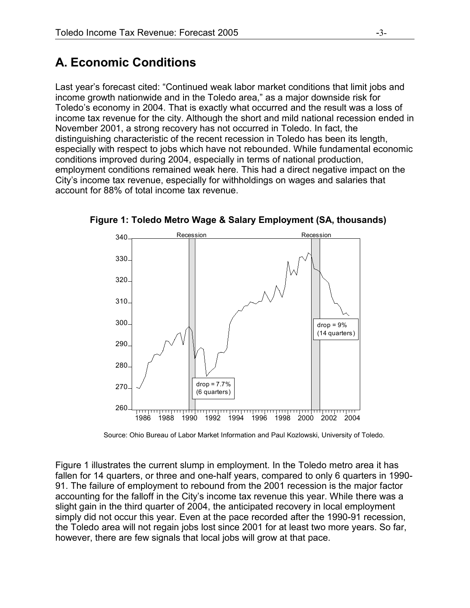## **A. Economic Conditions**

Last year's forecast cited: "Continued weak labor market conditions that limit jobs and income growth nationwide and in the Toledo area," as a major downside risk for Toledo's economy in 2004. That is exactly what occurred and the result was a loss of income tax revenue for the city. Although the short and mild national recession ended in November 2001, a strong recovery has not occurred in Toledo. In fact, the distinguishing characteristic of the recent recession in Toledo has been its length, especially with respect to jobs which have not rebounded. While fundamental economic conditions improved during 2004, especially in terms of national production, employment conditions remained weak here. This had a direct negative impact on the City's income tax revenue, especially for withholdings on wages and salaries that account for 88% of total income tax revenue.



**Figure 1: Toledo Metro Wage & Salary Employment (SA, thousands)**

Source: Ohio Bureau of Labor Market Information and Paul Kozlowski, University of Toledo.

Figure 1 illustrates the current slump in employment. In the Toledo metro area it has fallen for 14 quarters, or three and one-half years, compared to only 6 quarters in 1990- 91. The failure of employment to rebound from the 2001 recession is the major factor accounting for the falloff in the City's income tax revenue this year. While there was a slight gain in the third quarter of 2004, the anticipated recovery in local employment simply did not occur this year. Even at the pace recorded after the 1990-91 recession, the Toledo area will not regain jobs lost since 2001 for at least two more years. So far, however, there are few signals that local jobs will grow at that pace.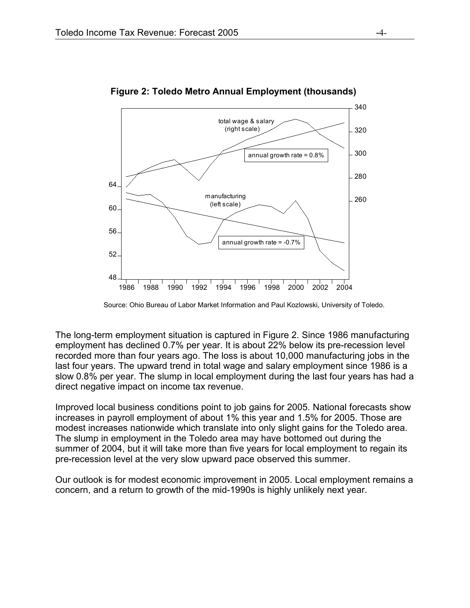

**Figure 2: Toledo Metro Annual Employment (thousands)**

The long-term employment situation is captured in Figure 2. Since 1986 manufacturing employment has declined 0.7% per year. It is about 22% below its pre-recession level recorded more than four years ago. The loss is about 10,000 manufacturing jobs in the last four years. The upward trend in total wage and salary employment since 1986 is a slow 0.8% per year. The slump in local employment during the last four years has had a direct negative impact on income tax revenue.

Improved local business conditions point to job gains for 2005. National forecasts show increases in payroll employment of about 1% this year and 1.5% for 2005. Those are modest increases nationwide which translate into only slight gains for the Toledo area. The slump in employment in the Toledo area may have bottomed out during the summer of 2004, but it will take more than five years for local employment to regain its pre-recession level at the very slow upward pace observed this summer.

Our outlook is for modest economic improvement in 2005. Local employment remains a concern, and a return to growth of the mid-1990s is highly unlikely next year.

Source: Ohio Bureau of Labor Market Information and Paul Kozlowski, University of Toledo.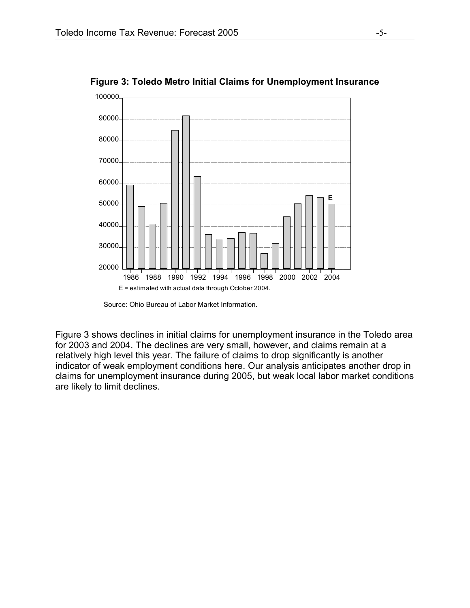

**Figure 3: Toledo Metro Initial Claims for Unemployment Insurance**

Figure 3 shows declines in initial claims for unemployment insurance in the Toledo area for 2003 and 2004. The declines are very small, however, and claims remain at a relatively high level this year. The failure of claims to drop significantly is another indicator of weak employment conditions here. Our analysis anticipates another drop in claims for unemployment insurance during 2005, but weak local labor market conditions are likely to limit declines.

Source: Ohio Bureau of Labor Market Information.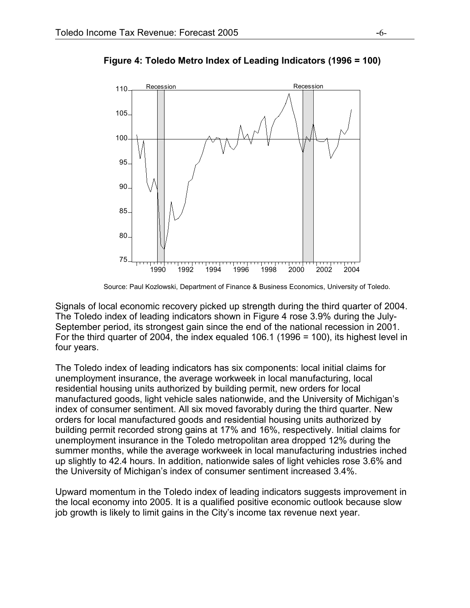

**Figure 4: Toledo Metro Index of Leading Indicators (1996 = 100)**

Source: Paul Kozlowski, Department of Finance & Business Economics, University of Toledo.

Signals of local economic recovery picked up strength during the third quarter of 2004. The Toledo index of leading indicators shown in Figure 4 rose 3.9% during the July-September period, its strongest gain since the end of the national recession in 2001. For the third quarter of 2004, the index equaled 106.1 (1996 = 100), its highest level in four years.

The Toledo index of leading indicators has six components: local initial claims for unemployment insurance, the average workweek in local manufacturing, local residential housing units authorized by building permit, new orders for local manufactured goods, light vehicle sales nationwide, and the University of Michigan's index of consumer sentiment. All six moved favorably during the third quarter. New orders for local manufactured goods and residential housing units authorized by building permit recorded strong gains at 17% and 16%, respectively. Initial claims for unemployment insurance in the Toledo metropolitan area dropped 12% during the summer months, while the average workweek in local manufacturing industries inched up slightly to 42.4 hours. In addition, nationwide sales of light vehicles rose 3.6% and the University of Michigan's index of consumer sentiment increased 3.4%.

Upward momentum in the Toledo index of leading indicators suggests improvement in the local economy into 2005. It is a qualified positive economic outlook because slow job growth is likely to limit gains in the City's income tax revenue next year.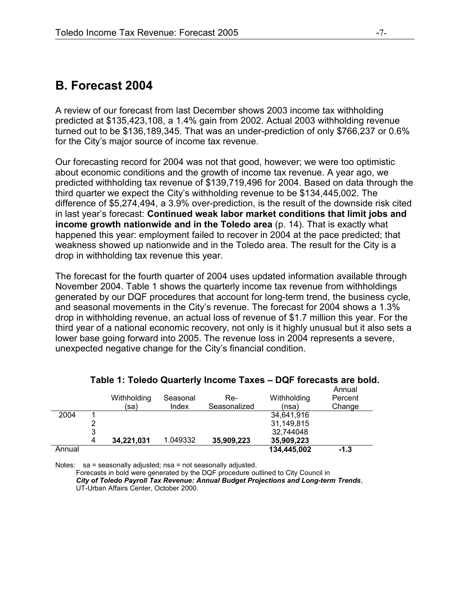### **B. Forecast 2004**

A review of our forecast from last December shows 2003 income tax withholding predicted at \$135,423,108, a 1.4% gain from 2002. Actual 2003 withholding revenue turned out to be \$136,189,345. That was an under-prediction of only \$766,237 or 0.6% for the City's major source of income tax revenue.

Our forecasting record for 2004 was not that good, however; we were too optimistic about economic conditions and the growth of income tax revenue. A year ago, we predicted withholding tax revenue of \$139,719,496 for 2004. Based on data through the third quarter we expect the City's withholding revenue to be \$134,445,002. The difference of \$5,274,494, a 3.9% over-prediction, is the result of the downside risk cited in last year's forecast: **Continued weak labor market conditions that limit jobs and income growth nationwide and in the Toledo area** (p. 14). That is exactly what happened this year: employment failed to recover in 2004 at the pace predicted; that weakness showed up nationwide and in the Toledo area. The result for the City is a drop in withholding tax revenue this year.

The forecast for the fourth quarter of 2004 uses updated information available through November 2004. Table 1 shows the quarterly income tax revenue from withholdings generated by our DQF procedures that account for long-term trend, the business cycle, and seasonal movements in the City's revenue. The forecast for 2004 shows a 1.3% drop in withholding revenue, an actual loss of revenue of \$1.7 million this year. For the third year of a national economic recovery, not only is it highly unusual but it also sets a lower base going forward into 2005. The revenue loss in 2004 represents a severe, unexpected negative change for the City's financial condition.

|        |   | Withholding<br>(sa) | Seasonal<br>Index | Re-<br>Seasonalized | Withholding<br>(nsa) | Annual<br>Percent<br>Change |
|--------|---|---------------------|-------------------|---------------------|----------------------|-----------------------------|
|        |   |                     |                   |                     |                      |                             |
| 2004   |   |                     |                   |                     | 34,641,916           |                             |
|        |   |                     |                   |                     | 31.149.815           |                             |
|        | 3 |                     |                   |                     | 32,744048            |                             |
|        | 4 | 34,221,031          | 1.049332          | 35,909,223          | 35,909,223           |                             |
| Annual |   |                     |                   |                     | 134.445.002          | -1.3                        |

### **Table 1: Toledo Quarterly Income Taxes – DQF forecasts are bold.**

Notes: sa = seasonally adjusted; nsa = not seasonally adjusted.

Forecasts in bold were generated by the DQF procedure outlined to City Council in *City of Toledo Payroll Tax Revenue: Annual Budget Projections and Long-term Trends*, UT-Urban Affairs Center, October 2000.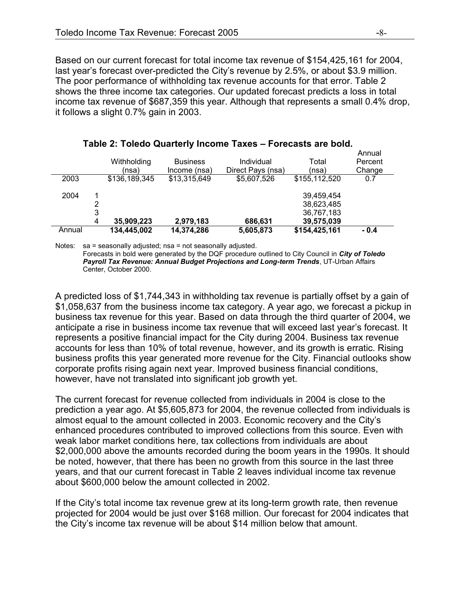Based on our current forecast for total income tax revenue of \$154,425,161 for 2004, last year's forecast over-predicted the City's revenue by 2.5%, or about \$3.9 million. The poor performance of withholding tax revenue accounts for that error. Table 2 shows the three income tax categories. Our updated forecast predicts a loss in total income tax revenue of \$687,359 this year. Although that represents a small 0.4% drop, it follows a slight 0.7% gain in 2003.

|        |                          | Withholding<br>(nsa) | <b>Business</b><br>Income (nsa) | Individual<br>Direct Pays (nsa) | Total<br>(nsa)                                       | Annual<br>Percent<br>Change |
|--------|--------------------------|----------------------|---------------------------------|---------------------------------|------------------------------------------------------|-----------------------------|
| 2003   |                          | \$136,189,345        | \$13,315,649                    | \$5,607,526                     | \$155,112,520                                        | 0.7                         |
| 2004   | $\overline{2}$<br>3<br>4 | 35,909,223           | 2,979,183                       | 686,631                         | 39,459,454<br>38,623,485<br>36,767,183<br>39,575,039 |                             |
| Annual |                          | 134,445,002          | 14,374,286                      | 5,605,873                       | \$154,425,161                                        | - 0.4                       |

#### **Table 2: Toledo Quarterly Income Taxes – Forecasts are bold.**

Notes: sa = seasonally adjusted; nsa = not seasonally adjusted.

Forecasts in bold were generated by the DQF procedure outlined to City Council in *City of Toledo Payroll Tax Revenue: Annual Budget Projections and Long-term Trends*, UT-Urban Affairs Center, October 2000.

A predicted loss of \$1,744,343 in withholding tax revenue is partially offset by a gain of \$1,058,637 from the business income tax category. A year ago, we forecast a pickup in business tax revenue for this year. Based on data through the third quarter of 2004, we anticipate a rise in business income tax revenue that will exceed last year's forecast. It represents a positive financial impact for the City during 2004. Business tax revenue accounts for less than 10% of total revenue, however, and its growth is erratic. Rising business profits this year generated more revenue for the City. Financial outlooks show corporate profits rising again next year. Improved business financial conditions, however, have not translated into significant job growth yet.

The current forecast for revenue collected from individuals in 2004 is close to the prediction a year ago. At \$5,605,873 for 2004, the revenue collected from individuals is almost equal to the amount collected in 2003. Economic recovery and the City's enhanced procedures contributed to improved collections from this source. Even with weak labor market conditions here, tax collections from individuals are about \$2,000,000 above the amounts recorded during the boom years in the 1990s. It should be noted, however, that there has been no growth from this source in the last three years, and that our current forecast in Table 2 leaves individual income tax revenue about \$600,000 below the amount collected in 2002.

If the City's total income tax revenue grew at its long-term growth rate, then revenue projected for 2004 would be just over \$168 million. Our forecast for 2004 indicates that the City's income tax revenue will be about \$14 million below that amount.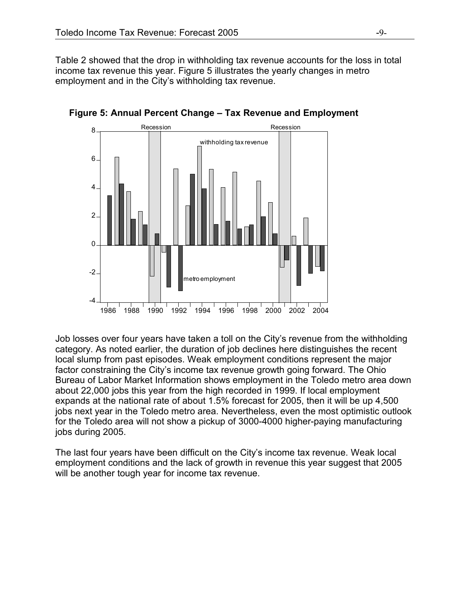Table 2 showed that the drop in withholding tax revenue accounts for the loss in total income tax revenue this year. Figure 5 illustrates the yearly changes in metro employment and in the City's withholding tax revenue.



**Figure 5: Annual Percent Change – Tax Revenue and Employment**

Job losses over four years have taken a toll on the City's revenue from the withholding category. As noted earlier, the duration of job declines here distinguishes the recent local slump from past episodes. Weak employment conditions represent the major factor constraining the City's income tax revenue growth going forward. The Ohio Bureau of Labor Market Information shows employment in the Toledo metro area down about 22,000 jobs this year from the high recorded in 1999. If local employment expands at the national rate of about 1.5% forecast for 2005, then it will be up 4,500 jobs next year in the Toledo metro area. Nevertheless, even the most optimistic outlook for the Toledo area will not show a pickup of 3000-4000 higher-paying manufacturing jobs during 2005.

The last four years have been difficult on the City's income tax revenue. Weak local employment conditions and the lack of growth in revenue this year suggest that 2005 will be another tough year for income tax revenue.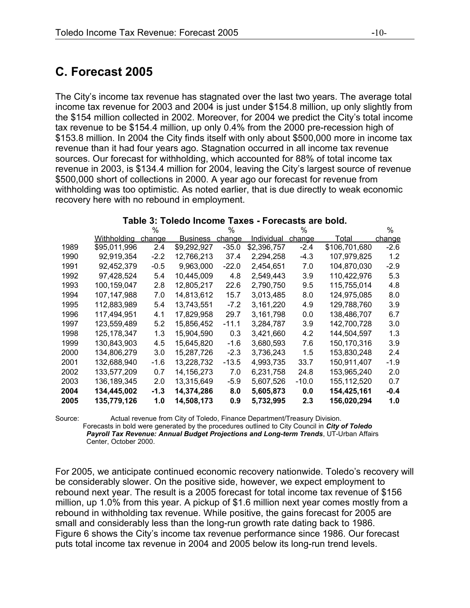### **C. Forecast 2005**

The City's income tax revenue has stagnated over the last two years. The average total income tax revenue for 2003 and 2004 is just under \$154.8 million, up only slightly from the \$154 million collected in 2002. Moreover, for 2004 we predict the City's total income tax revenue to be \$154.4 million, up only 0.4% from the 2000 pre-recession high of \$153.8 million. In 2004 the City finds itself with only about \$500,000 more in income tax revenue than it had four years ago. Stagnation occurred in all income tax revenue sources. Our forecast for withholding, which accounted for 88% of total income tax revenue in 2003, is \$134.4 million for 2004, leaving the City's largest source of revenue \$500,000 short of collections in 2000. A year ago our forecast for revenue from withholding was too optimistic. As noted earlier, that is due directly to weak economic recovery here with no rebound in employment.

|      |               | %      |                 | %             |             | %             |               | $\%$   |
|------|---------------|--------|-----------------|---------------|-------------|---------------|---------------|--------|
|      | Withholding   | change | <b>Business</b> | <u>change</u> | Individual  | <u>change</u> | Total         | change |
| 1989 | \$95,011,996  | 2.4    | \$9,292,927     | $-35.0$       | \$2,396,757 | $-2.4$        | \$106,701,680 | $-2.6$ |
| 1990 | 92,919,354    | $-2.2$ | 12,766,213      | 37.4          | 2,294,258   | $-4.3$        | 107,979,825   | 1.2    |
| 1991 | 92,452,379    | $-0.5$ | 9,963,000       | $-22.0$       | 2,454,651   | 7.0           | 104,870,030   | $-2.9$ |
| 1992 | 97,428,524    | 5.4    | 10,445,009      | 4.8           | 2,549,443   | 3.9           | 110,422,976   | 5.3    |
| 1993 | 100,159,047   | 2.8    | 12,805,217      | 22.6          | 2,790,750   | 9.5           | 115,755,014   | 4.8    |
| 1994 | 107,147,988   | 7.0    | 14,813,612      | 15.7          | 3,013,485   | 8.0           | 124,975,085   | 8.0    |
| 1995 | 112,883,989   | 5.4    | 13,743,551      | $-7.2$        | 3,161,220   | 4.9           | 129,788,760   | 3.9    |
| 1996 | 117,494,951   | 4.1    | 17,829,958      | 29.7          | 3,161,798   | 0.0           | 138,486,707   | 6.7    |
| 1997 | 123,559,489   | 5.2    | 15,856,452      | $-11.1$       | 3,284,787   | 3.9           | 142,700,728   | 3.0    |
| 1998 | 125, 178, 347 | 1.3    | 15,904,590      | 0.3           | 3,421,660   | 4.2           | 144,504,597   | 1.3    |
| 1999 | 130,843,903   | 4.5    | 15,645,820      | $-1.6$        | 3,680,593   | 7.6           | 150,170,316   | 3.9    |
| 2000 | 134,806,279   | 3.0    | 15,287,726      | $-2.3$        | 3,736,243   | 1.5           | 153,830,248   | 2.4    |
| 2001 | 132,688,940   | $-1.6$ | 13,228,732      | $-13.5$       | 4,993,735   | 33.7          | 150,911,407   | $-1.9$ |
| 2002 | 133,577,209   | 0.7    | 14,156,273      | 7.0           | 6,231,758   | 24.8          | 153,965,240   | 2.0    |
| 2003 | 136,189,345   | 2.0    | 13,315,649      | $-5.9$        | 5,607,526   | $-10.0$       | 155,112,520   | 0.7    |
| 2004 | 134,445,002   | $-1.3$ | 14,374,286      | 8.0           | 5,605,873   | 0.0           | 154,425,161   | $-0.4$ |
| 2005 | 135,779,126   | 1.0    | 14,508,173      | 0.9           | 5,732,995   | 2.3           | 156,020,294   | 1.0    |

#### **Table 3: Toledo Income Taxes - Forecasts are bold.**

Source: Actual revenue from City of Toledo, Finance Department/Treasury Division. Forecasts in bold were generated by the procedures outlined to City Council in *City of Toledo Payroll Tax Revenue: Annual Budget Projections and Long-term Trends*, UT-Urban Affairs Center, October 2000.

For 2005, we anticipate continued economic recovery nationwide. Toledo's recovery will be considerably slower. On the positive side, however, we expect employment to rebound next year. The result is a 2005 forecast for total income tax revenue of \$156 million, up 1.0% from this year. A pickup of \$1.6 million next year comes mostly from a rebound in withholding tax revenue. While positive, the gains forecast for 2005 are small and considerably less than the long-run growth rate dating back to 1986. Figure 6 shows the City's income tax revenue performance since 1986. Our forecast puts total income tax revenue in 2004 and 2005 below its long-run trend levels.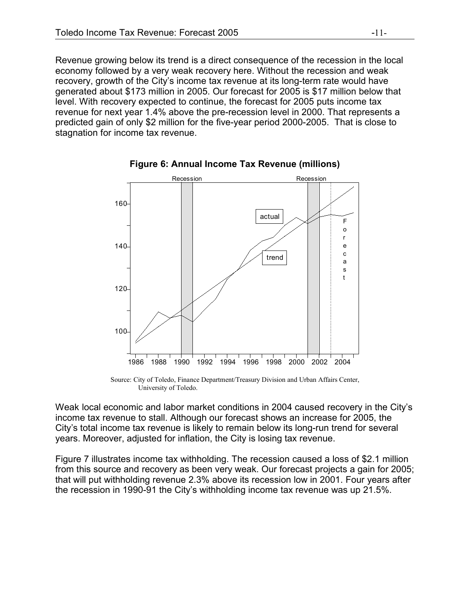Revenue growing below its trend is a direct consequence of the recession in the local economy followed by a very weak recovery here. Without the recession and weak recovery, growth of the City's income tax revenue at its long-term rate would have generated about \$173 million in 2005. Our forecast for 2005 is \$17 million below that level. With recovery expected to continue, the forecast for 2005 puts income tax revenue for next year 1.4% above the pre-recession level in 2000. That represents a predicted gain of only \$2 million for the five-year period 2000-2005. That is close to stagnation for income tax revenue.



**Figure 6: Annual Income Tax Revenue (millions)**

Source: City of Toledo, Finance Department/Treasury Division and Urban Affairs Center, University of Toledo.

Weak local economic and labor market conditions in 2004 caused recovery in the City's income tax revenue to stall. Although our forecast shows an increase for 2005, the City's total income tax revenue is likely to remain below its long-run trend for several years. Moreover, adjusted for inflation, the City is losing tax revenue.

Figure 7 illustrates income tax withholding. The recession caused a loss of \$2.1 million from this source and recovery as been very weak. Our forecast projects a gain for 2005; that will put withholding revenue 2.3% above its recession low in 2001. Four years after the recession in 1990-91 the City's withholding income tax revenue was up 21.5%.